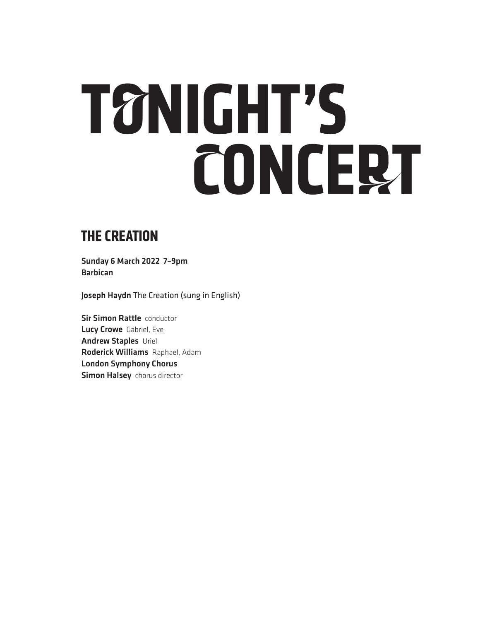# **TONIGHT'S CONCERT**

### **THE CREATION**

Sunday 6 March 2022 7–9pm Barbican

Joseph Haydn The Creation (sung in English)

**Sir Simon Rattle conductor** Lucy Crowe Gabriel, Eve Andrew Staples Uriel Roderick Williams Raphael, Adam London Symphony Chorus **Simon Halsey** chorus director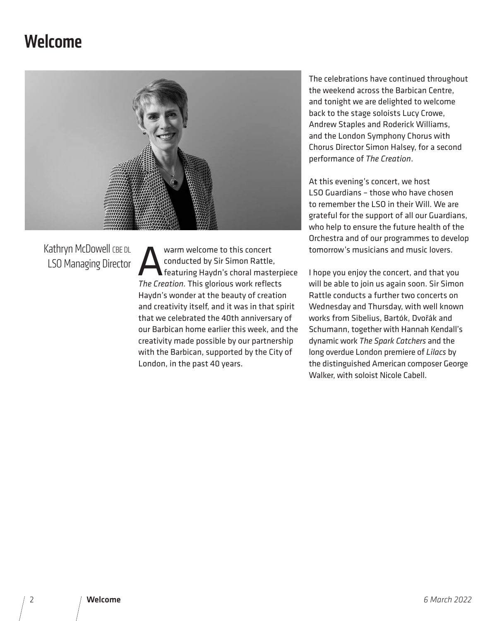### **Welcome**



Kathryn McDowell CBE DL LSO Managing Director Warm welcome to this concert<br>
conducted by Sir Simon Rattle<br>
Featuring Haydn's choral mast conducted by Sir Simon Rattle, featuring Haydn's choral masterpiece *The Creation.* This glorious work reflects Haydn's wonder at the beauty of creation and creativity itself, and it was in that spirit that we celebrated the 40th anniversary of our Barbican home earlier this week, and the creativity made possible by our partnership with the Barbican, supported by the City of London, in the past 40 years.

The celebrations have continued throughout the weekend across the Barbican Centre, and tonight we are delighted to welcome back to the stage soloists Lucy Crowe, Andrew Staples and Roderick Williams, and the London Symphony Chorus with Chorus Director Simon Halsey, for a second performance of *The Creation*.

At this evening's concert, we host LSO Guardians – those who have chosen to remember the LSO in their Will. We are grateful for the support of all our Guardians, who help to ensure the future health of the Orchestra and of our programmes to develop tomorrow's musicians and music lovers.

I hope you enjoy the concert, and that you will be able to join us again soon. Sir Simon Rattle conducts a further two concerts on Wednesday and Thursday, with well known works from Sibelius, Bartók, Dvořák and Schumann, together with Hannah Kendall's dynamic work *The Spark Catchers* and the long overdue London premiere of *Lilacs* by the distinguished American composer George Walker, with soloist Nicole Cabell.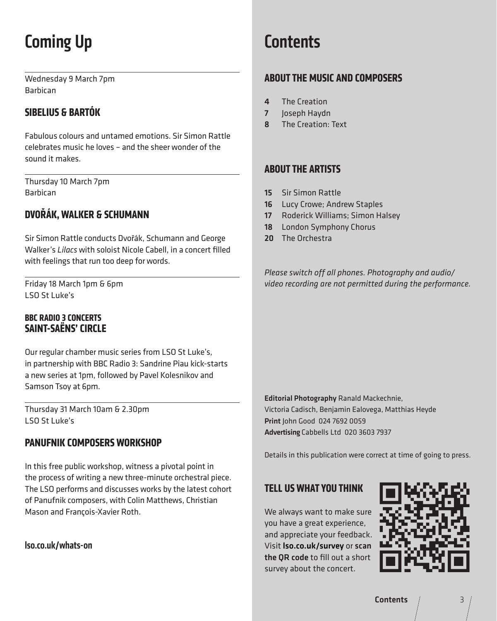# Coming Up

Wednesday 9 March 7pm Barbican

#### **SIBELIUS & BARTÓK**

Fabulous colours and untamed emotions. Sir Simon Rattle celebrates music he loves – and the sheer wonder of the sound it makes.

Thursday 10 March 7pm Barbican

#### **DVOŘÁK, WALKER & SCHUMANN**

Sir Simon Rattle conducts Dvořák, Schumann and George Walker's *Lilacs* with soloist Nicole Cabell, in a concert filled with feelings that run too deep for words.

Friday 18 March 1pm & 6pm LSO St Luke's

#### **BBC RADIO 3 CONCERTS SAINT-SAËNS' CIRCLE**

Our regular chamber music series from LSO St Luke's, in partnership with BBC Radio 3: Sandrine Piau kick-starts a new series at 1pm, followed by Pavel Kolesnikov and Samson Tsoy at 6pm.

Thursday 31 March 10am & 2.30pm LSO St Luke's

#### **PANUFNIK COMPOSERS WORKSHOP**

In this free public workshop, witness a pivotal point in the process of writing a new three-minute orchestral piece. The LSO performs and discusses works by the latest cohort of Panufnik composers, with Colin Matthews, Christian Mason and François-Xavier Roth.

lso.co.uk/whats-on

### **Contents**

#### **ABOUT THE MUSIC AND COMPOSERS**

- 4 The Creation
- 7 **Joseph Haydn**
- 8 The Creation: Text

#### **ABOUT THE ARTISTS**

- 15 Sir Simon Rattle
- 16 Lucy Crowe; Andrew Staples
- 17 Roderick Williams; Simon Halsey
- 18 London Symphony Chorus
- 20 The Orchestra

*Please switch off all phones. Photography and audio/ video recording are not permitted during the performance.*

Editorial Photography Ranald Mackechnie, Victoria Cadisch, Benjamin Ealovega, Matthias Heyde Print John Good 024 7692 0059 Advertising Cabbells Ltd 020 3603 7937

Details in this publication were correct at time of going to press.

#### **TELL US WHAT YOU THINK**

We always want to make sure you have a great experience, and appreciate your feedback. Visit lso.co.uk/survey or scan the QR code to fill out a short survey about the concert.

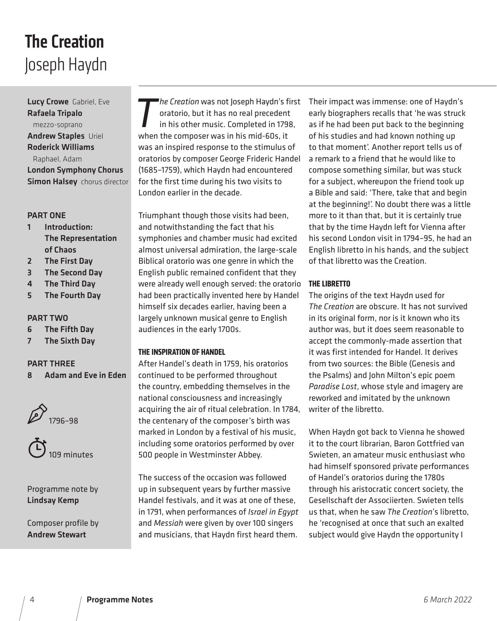# Joseph Haydn The Creation

Lucy Crowe Gabriel, Eve Rafaela Tripalo mezzo-soprano Andrew Staples Uriel Roderick Williams Raphael, Adam London Symphony Chorus **Simon Halsey** chorus director

#### PART ONE

- 1 Introduction: The Representation of Chaos
- 2 The First Day
- 3 The Second Day
- 4 The Third Day
- 5 The Fourth Day

#### PART TWO

- 6 The Fifth Day
- 7 The Sixth Day

#### PART THREE

8 Adam and Eve in Eden





Programme note by Lindsay Kemp

Composer profile by Andrew Stewart

*The Creation* was not Joseph Haydn's first<br>oratorio, but it has no real precedent<br>in his other music. Completed in 1798,<br>when the composer was in his mid-60s, it oratorio, but it has no real precedent in his other music. Completed in 1798, when the composer was in his mid-60s, it was an inspired response to the stimulus of oratorios by composer George Frideric Handel (1685–1759), which Haydn had encountered for the first time during his two visits to London earlier in the decade.

Triumphant though those visits had been, and notwithstanding the fact that his symphonies and chamber music had excited almost universal admiration, the large-scale Biblical oratorio was one genre in which the English public remained confident that they were already well enough served: the oratorio had been practically invented here by Handel himself six decades earlier, having been a largely unknown musical genre to English audiences in the early 1700s.

#### **THE INSPIRATION OF HANDEL**

After Handel's death in 1759, his oratorios continued to be performed throughout the country, embedding themselves in the national consciousness and increasingly acquiring the air of ritual celebration. In 1784, the centenary of the composer's birth was marked in London by a festival of his music, including some oratorios performed by over 500 people in Westminster Abbey.

The success of the occasion was followed up in subsequent years by further massive Handel festivals, and it was at one of these, in 1791, when performances of *Israel in Egypt* and *Messiah* were given by over 100 singers and musicians, that Haydn first heard them.

Their impact was immense: one of Haydn's early biographers recalls that 'he was struck as if he had been put back to the beginning of his studies and had known nothing up to that moment'. Another report tells us of a remark to a friend that he would like to compose something similar, but was stuck for a subject, whereupon the friend took up a Bible and said: 'There, take that and begin at the beginning!'. No doubt there was a little more to it than that, but it is certainly true that by the time Haydn left for Vienna after his second London visit in 1794–95, he had an English libretto in his hands, and the subject of that libretto was the Creation.

#### **THE LIBRETTO**

The origins of the text Haydn used for *The Creation* are obscure. It has not survived in its original form, nor is it known who its author was, but it does seem reasonable to accept the commonly-made assertion that it was first intended for Handel. It derives from two sources: the Bible (Genesis and the Psalms) and John Milton's epic poem *Paradise Lost*, whose style and imagery are reworked and imitated by the unknown writer of the libretto.

When Haydn got back to Vienna he showed it to the court librarian, Baron Gottfried van Swieten, an amateur music enthusiast who had himself sponsored private performances of Handel's oratorios during the 1780s through his aristocratic concert society, the Gesellschaft der Associierten. Swieten tells us that, when he saw *The Creation*'s libretto, he 'recognised at once that such an exalted subject would give Haydn the opportunity I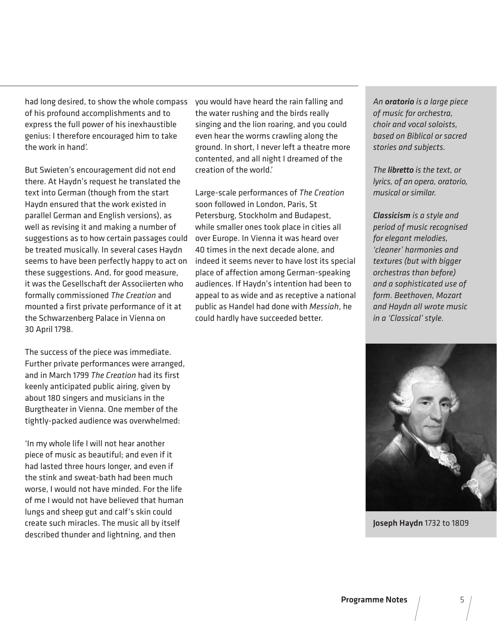had long desired, to show the whole compass of his profound accomplishments and to express the full power of his inexhaustible genius: I therefore encouraged him to take the work in hand'.

But Swieten's encouragement did not end there. At Haydn's request he translated the text into German (though from the start Haydn ensured that the work existed in parallel German and English versions), as well as revising it and making a number of suggestions as to how certain passages could be treated musically. In several cases Haydn seems to have been perfectly happy to act on these suggestions. And, for good measure, it was the Gesellschaft der Associierten who formally commissioned *The Creation* and mounted a first private performance of it at the Schwarzenberg Palace in Vienna on 30 April 1798.

The success of the piece was immediate. Further private performances were arranged, and in March 1799 *The Creation* had its first keenly anticipated public airing, given by about 180 singers and musicians in the Burgtheater in Vienna. One member of the tightly-packed audience was overwhelmed:

'In my whole life I will not hear another piece of music as beautiful; and even if it had lasted three hours longer, and even if the stink and sweat-bath had been much worse, I would not have minded. For the life of me I would not have believed that human lungs and sheep gut and calf's skin could create such miracles. The music all by itself described thunder and lightning, and then

you would have heard the rain falling and the water rushing and the birds really singing and the lion roaring, and you could even hear the worms crawling along the ground. In short, I never left a theatre more contented, and all night I dreamed of the creation of the world.'

Large-scale performances of *The Creation* soon followed in London, Paris, St Petersburg, Stockholm and Budapest, while smaller ones took place in cities all over Europe. In Vienna it was heard over 40 times in the next decade alone, and indeed it seems never to have lost its special place of affection among German-speaking audiences. If Haydn's intention had been to appeal to as wide and as receptive a national public as Handel had done with *Messiah*, he could hardly have succeeded better.

*An oratorio is a large piece of music for orchestra, choir and vocal soloists, based on Biblical or sacred stories and subjects.*

*The libretto is the text, or lyrics, of an opera, oratorio, musical or similar.*

*Classicism is a style and period of music recognised for elegant melodies, 'cleaner' harmonies and textures (but with bigger orchestras than before) and a sophisticated use of form. Beethoven, Mozart and Haydn all wrote music in a 'Classical' style.*



Joseph Haydn 1732 to 1809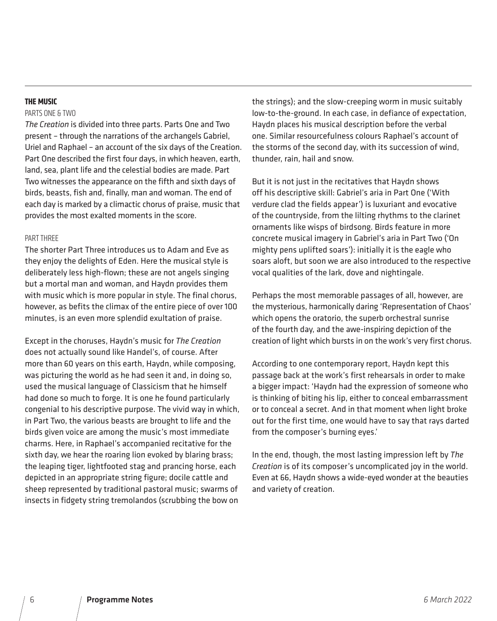#### **THE MUSIC**

#### PARTS ONE & TWO

*The Creation* is divided into three parts. Parts One and Two present – through the narrations of the archangels Gabriel, Uriel and Raphael – an account of the six days of the Creation. Part One described the first four days, in which heaven, earth, land, sea, plant life and the celestial bodies are made. Part Two witnesses the appearance on the fifth and sixth days of birds, beasts, fish and, finally, man and woman. The end of each day is marked by a climactic chorus of praise, music that provides the most exalted moments in the score.

#### PART THREE

The shorter Part Three introduces us to Adam and Eve as they enjoy the delights of Eden. Here the musical style is deliberately less high-flown; these are not angels singing but a mortal man and woman, and Haydn provides them with music which is more popular in style. The final chorus, however, as befits the climax of the entire piece of over 100 minutes, is an even more splendid exultation of praise.

Except in the choruses, Haydn's music for *The Creation* does not actually sound like Handel's, of course. After more than 60 years on this earth, Haydn, while composing, was picturing the world as he had seen it and, in doing so, used the musical language of Classicism that he himself had done so much to forge. It is one he found particularly congenial to his descriptive purpose. The vivid way in which, in Part Two, the various beasts are brought to life and the birds given voice are among the music's most immediate charms. Here, in Raphael's accompanied recitative for the sixth day, we hear the roaring lion evoked by blaring brass; the leaping tiger, lightfooted stag and prancing horse, each depicted in an appropriate string figure; docile cattle and sheep represented by traditional pastoral music; swarms of insects in fidgety string tremolandos (scrubbing the bow on

the strings); and the slow-creeping worm in music suitably low-to-the-ground. In each case, in defiance of expectation, Haydn places his musical description before the verbal one. Similar resourcefulness colours Raphael's account of the storms of the second day, with its succession of wind, thunder, rain, hail and snow.

But it is not just in the recitatives that Haydn shows off his descriptive skill: Gabriel's aria in Part One ('With verdure clad the fields appear') is luxuriant and evocative of the countryside, from the lilting rhythms to the clarinet ornaments like wisps of birdsong. Birds feature in more concrete musical imagery in Gabriel's aria in Part Two ('On mighty pens uplifted soars'): initially it is the eagle who soars aloft, but soon we are also introduced to the respective vocal qualities of the lark, dove and nightingale.

Perhaps the most memorable passages of all, however, are the mysterious, harmonically daring 'Representation of Chaos' which opens the oratorio, the superb orchestral sunrise of the fourth day, and the awe-inspiring depiction of the creation of light which bursts in on the work's very first chorus.

According to one contemporary report, Haydn kept this passage back at the work's first rehearsals in order to make a bigger impact: 'Haydn had the expression of someone who is thinking of biting his lip, either to conceal embarrassment or to conceal a secret. And in that moment when light broke out for the first time, one would have to say that rays darted from the composer's burning eyes.'

In the end, though, the most lasting impression left by *The Creation* is of its composer's uncomplicated joy in the world. Even at 66, Haydn shows a wide-eyed wonder at the beauties and variety of creation.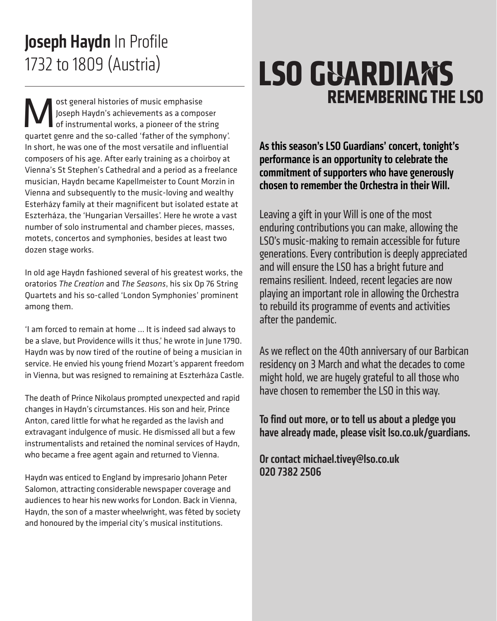## 1732 to 1809 (Austria) Joseph Haydn In Profile

**M** ost general histories of music emphasise<br>Joseph Haydn's achievements as a compo<br>of instrumental works, a pioneer of the sym Joseph Haydn's achievements as a composer of instrumental works, a pioneer of the string quartet genre and the so-called 'father of the symphony'. In short, he was one of the most versatile and influential composers of his age. After early training as a choirboy at Vienna's St Stephen's Cathedral and a period as a freelance musician, Haydn became Kapellmeister to Count Morzin in Vienna and subsequently to the music-loving and wealthy Esterházy family at their magnificent but isolated estate at Eszterháza, the 'Hungarian Versailles'. Here he wrote a vast number of solo instrumental and chamber pieces, masses, motets, concertos and symphonies, besides at least two dozen stage works.

In old age Haydn fashioned several of his greatest works, the oratorios *The Creation* and *The Seasons*, his six Op 76 String Quartets and his so-called 'London Symphonies' prominent among them.

'I am forced to remain at home … It is indeed sad always to be a slave, but Providence wills it thus,' he wrote in June 1790. Haydn was by now tired of the routine of being a musician in service. He envied his young friend Mozart's apparent freedom in Vienna, but was resigned to remaining at Eszterháza Castle.

The death of Prince Nikolaus prompted unexpected and rapid changes in Haydn's circumstances. His son and heir, Prince Anton, cared little for what he regarded as the lavish and extravagant indulgence of music. He dismissed all but a few instrumentalists and retained the nominal services of Haydn, who became a free agent again and returned to Vienna.

Haydn was enticed to England by impresario Johann Peter Salomon, attracting considerable newspaper coverage and audiences to hear his new works for London. Back in Vienna, Haydn, the son of a master wheelwright, was fêted by society and honoured by the imperial city's musical institutions.

# **LSO GUARDIANS REMEMBERING THE LSO**

As this season's LSO Guardians' concert, tonight's performance is an opportunity to celebrate the commitment of supporters who have generously chosen to remember the Orchestra in their Will.

Leaving a gift in your Will is one of the most enduring contributions you can make, allowing the LSO's music-making to remain accessible for future generations. Every contribution is deeply appreciated and will ensure the LSO has a bright future and remains resilient. Indeed, recent legacies are now playing an important role in allowing the Orchestra to rebuild its programme of events and activities after the pandemic.

As we reflect on the 40th anniversary of our Barbican residency on 3 March and what the decades to come might hold, we are hugely grateful to all those who have chosen to remember the LSO in this way.

To find out more, or to tell us about a pledge you have already made, please visit lso.co.uk/guardians.

Or contact michael.tivey@lso.co.uk 020 7382 2506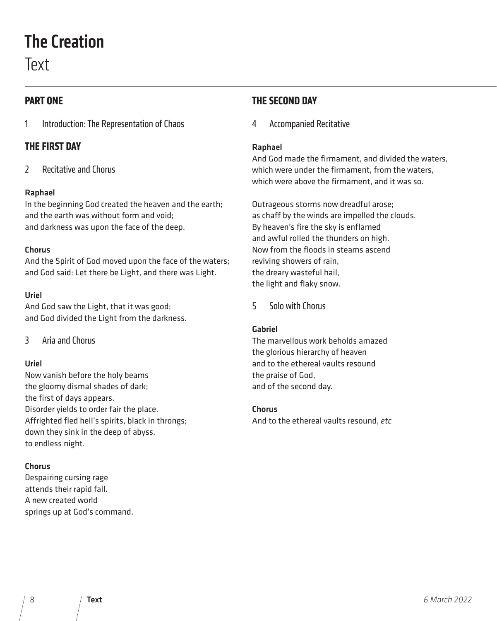### The Creation

Text

#### **PART ONE**

1 Introduction: The Representation of Chaos

#### **THE FIRST DAY**

2 Recitative and Chorus

#### Raphael

In the beginning God created the heaven and the earth; and the earth was without form and void; and darkness was upon the face of the deep.

#### Chorus

And the Spirit of God moved upon the face of the waters; and God said: Let there be Light, and there was Light.

#### Uriel

And God saw the Light, that it was good; and God divided the Light from the darkness.

3 Aria and Chorus

#### Uriel

Now vanish before the holy beams the gloomy dismal shades of dark; the first of days appears. Disorder yields to order fair the place. Affrighted fled hell's spirits, black in throngs; down they sink in the deep of abyss, to endless night.

#### Chorus

Despairing cursing rage attends their rapid fall. A new created world springs up at God's command.

#### **THE SECOND DAY**

#### 4 Accompanied Recitative

#### Raphael

And God made the firmament, and divided the waters, which were under the firmament, from the waters, which were above the firmament, and it was so.

Outrageous storms now dreadful arose; as chaff by the winds are impelled the clouds. By heaven's fire the sky is enflamed and awful rolled the thunders on high. Now from the floods in steams ascend reviving showers of rain, the dreary wasteful hail, the light and flaky snow.

5 Solo with Chorus

#### Gabriel

The marvellous work beholds amazed the glorious hierarchy of heaven and to the ethereal vaults resound the praise of God, and of the second day.

#### Chorus

And to the ethereal vaults resound, *etc*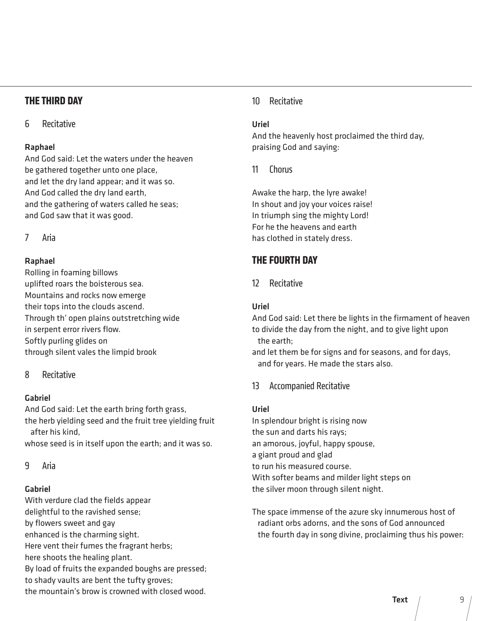#### **THE THIRD DAY**

#### 6 Recitative

#### Raphael

And God said: Let the waters under the heaven be gathered together unto one place, and let the dry land appear; and it was so. And God called the dry land earth, and the gathering of waters called he seas; and God saw that it was good.

7 Aria

#### Raphael

Rolling in foaming billows uplifted roars the boisterous sea. Mountains and rocks now emerge their tops into the clouds ascend. Through th' open plains outstretching wide in serpent error rivers flow. Softly purling glides on through silent vales the limpid brook

#### 8 Recitative

#### Gabriel

And God said: Let the earth bring forth grass, the herb yielding seed and the fruit tree yielding fruit after his kind,

whose seed is in itself upon the earth; and it was so.

#### 9 Aria

#### Gabriel

With verdure clad the fields appear delightful to the ravished sense; by flowers sweet and gay enhanced is the charming sight. Here vent their fumes the fragrant herbs; here shoots the healing plant. By load of fruits the expanded boughs are pressed; to shady vaults are bent the tufty groves; the mountain's brow is crowned with closed wood.

#### 10 Recitative

#### Uriel

And the heavenly host proclaimed the third day, praising God and saying:

#### 11 Chorus

Awake the harp, the lyre awake! In shout and joy your voices raise! In triumph sing the mighty Lord! For he the heavens and earth has clothed in stately dress.

#### **THE FOURTH DAY**

#### 12 Recitative

#### Uriel

And God said: Let there be lights in the firmament of heaven to divide the day from the night, and to give light upon the earth;

and let them be for signs and for seasons, and for days, and for years. He made the stars also.

#### 13 Accompanied Recitative

#### Uriel

In splendour bright is rising now the sun and darts his rays; an amorous, joyful, happy spouse, a giant proud and glad to run his measured course. With softer beams and milder light steps on the silver moon through silent night.

The space immense of the azure sky innumerous host of radiant orbs adorns, and the sons of God announced the fourth day in song divine, proclaiming thus his power: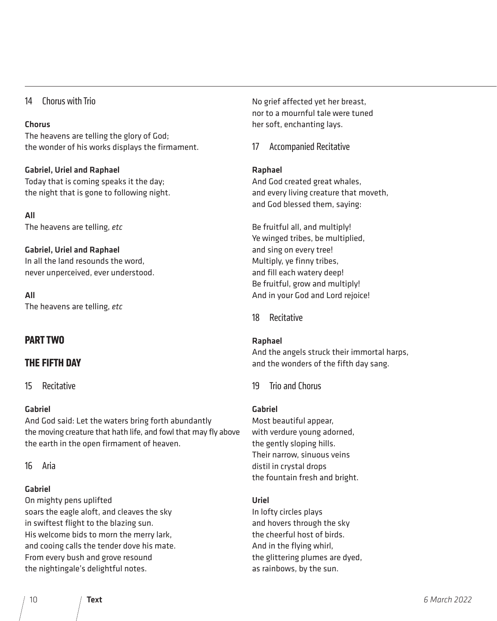#### 14 Chorus with Trio

#### Chorus

The heavens are telling the glory of God; the wonder of his works displays the firmament.

#### Gabriel, Uriel and Raphael

Today that is coming speaks it the day; the night that is gone to following night.

All The heavens are telling, *etc*

#### Gabriel, Uriel and Raphael

In all the land resounds the word, never unperceived, ever understood.

All The heavens are telling, *etc*

#### **PART TWO**

#### **THE FIFTH DAY**

15 Recitative

#### Gabriel

And God said: Let the waters bring forth abundantly the moving creature that hath life, and fowl that may fly above the earth in the open firmament of heaven.

16 Aria

#### Gabriel

On mighty pens uplifted soars the eagle aloft, and cleaves the sky in swiftest flight to the blazing sun. His welcome bids to morn the merry lark, and cooing calls the tender dove his mate. From every bush and grove resound the nightingale's delightful notes.

No grief affected yet her breast, nor to a mournful tale were tuned her soft, enchanting lays.

17 Accompanied Recitative

#### Raphael

And God created great whales, and every living creature that moveth, and God blessed them, saying:

Be fruitful all, and multiply! Ye winged tribes, be multiplied, and sing on every tree! Multiply, ye finny tribes, and fill each watery deep! Be fruitful, grow and multiply! And in your God and Lord rejoice!

18 Recitative

#### Raphael

And the angels struck their immortal harps, and the wonders of the fifth day sang.

19 Trio and Chorus

#### Gabriel

Most beautiful appear, with verdure young adorned, the gently sloping hills. Their narrow, sinuous veins distil in crystal drops the fountain fresh and bright.

#### Uriel

In lofty circles plays and hovers through the sky the cheerful host of birds. And in the flying whirl, the glittering plumes are dyed, as rainbows, by the sun.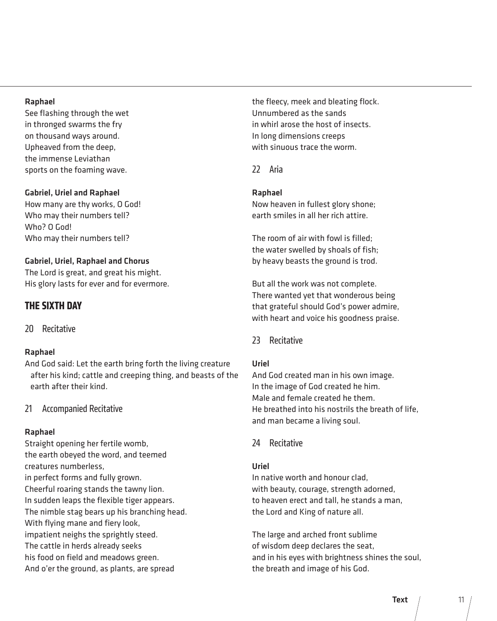#### Raphael

See flashing through the wet in thronged swarms the fry on thousand ways around. Upheaved from the deep, the immense Leviathan sports on the foaming wave.

#### Gabriel, Uriel and Raphael

How many are thy works, O God! Who may their numbers tell? Who? O God! Who may their numbers tell?

#### Gabriel, Uriel, Raphael and Chorus

The Lord is great, and great his might. His glory lasts for ever and for evermore.

#### **THE SIXTH DAY**

20 Recitative

#### Raphael

And God said: Let the earth bring forth the living creature after his kind; cattle and creeping thing, and beasts of the earth after their kind.

#### 21 Accompanied Recitative

#### Raphael

Straight opening her fertile womb, the earth obeyed the word, and teemed creatures numberless, in perfect forms and fully grown. Cheerful roaring stands the tawny lion. In sudden leaps the flexible tiger appears. The nimble stag bears up his branching head. With flying mane and fiery look, impatient neighs the sprightly steed. The cattle in herds already seeks his food on field and meadows green. And o'er the ground, as plants, are spread

the fleecy, meek and bleating flock. Unnumbered as the sands in whirl arose the host of insects. In long dimensions creeps with sinuous trace the worm.

22 Aria

#### Raphael

Now heaven in fullest glory shone; earth smiles in all her rich attire.

The room of air with fowl is filled; the water swelled by shoals of fish; by heavy beasts the ground is trod.

But all the work was not complete. There wanted yet that wonderous being that grateful should God's power admire, with heart and voice his goodness praise.

#### 23 Recitative

#### Uriel

And God created man in his own image. In the image of God created he him. Male and female created he them. He breathed into his nostrils the breath of life, and man became a living soul.

24 Recitative

#### Uriel

In native worth and honour clad, with beauty, courage, strength adorned, to heaven erect and tall, he stands a man, the Lord and King of nature all.

The large and arched front sublime of wisdom deep declares the seat, and in his eyes with brightness shines the soul, the breath and image of his God.

**Text**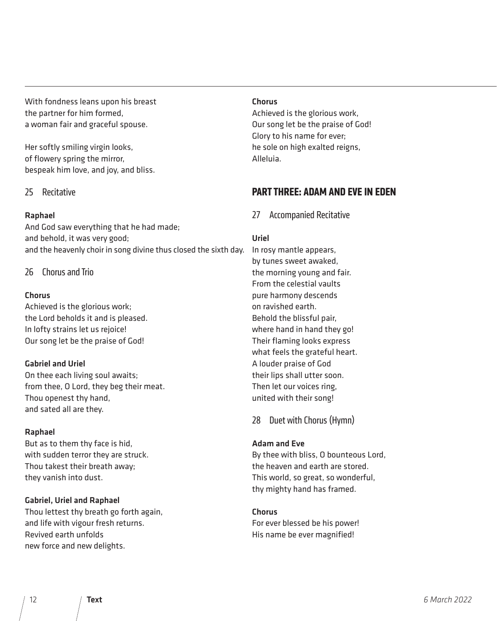With fondness leans upon his breast the partner for him formed, a woman fair and graceful spouse.

Her softly smiling virgin looks, of flowery spring the mirror, bespeak him love, and joy, and bliss.

#### 25 Recitative

#### Raphael

And God saw everything that he had made; and behold, it was very good; and the heavenly choir in song divine thus closed the sixth day.

26 Chorus and Trio

#### Chorus

Achieved is the glorious work; the Lord beholds it and is pleased. In lofty strains let us rejoice! Our song let be the praise of God!

#### Gabriel and Uriel

On thee each living soul awaits; from thee, O Lord, they beg their meat. Thou openest thy hand, and sated all are they.

#### Raphael

But as to them thy face is hid, with sudden terror they are struck. Thou takest their breath away; they vanish into dust.

#### Gabriel, Uriel and Raphael

Thou lettest thy breath go forth again, and life with vigour fresh returns. Revived earth unfolds new force and new delights.

#### Chorus

Achieved is the glorious work, Our song let be the praise of God! Glory to his name for ever; he sole on high exalted reigns, Alleluia.

#### **PART THREE: ADAM AND EVE IN EDEN**

#### 27 Accompanied Recitative

#### Uriel

In rosy mantle appears, by tunes sweet awaked, the morning young and fair. From the celestial vaults pure harmony descends on ravished earth. Behold the blissful pair, where hand in hand they go! Their flaming looks express what feels the grateful heart. A louder praise of God their lips shall utter soon. Then let our voices ring, united with their song!

28 Duet with Chorus (Hymn)

#### Adam and Eve

By thee with bliss, O bounteous Lord, the heaven and earth are stored. This world, so great, so wonderful, thy mighty hand has framed.

#### Chorus

For ever blessed be his power! His name be ever magnified!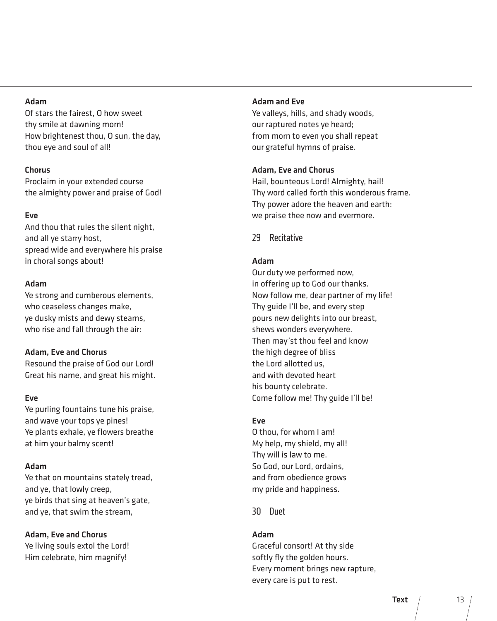#### Adam

Of stars the fairest, O how sweet thy smile at dawning morn! How brightenest thou, O sun, the day, thou eye and soul of all!

#### Chorus

Proclaim in your extended course the almighty power and praise of God!

#### Eve

And thou that rules the silent night, and all ye starry host, spread wide and everywhere his praise in choral songs about!

#### Adam

Ye strong and cumberous elements, who ceaseless changes make, ye dusky mists and dewy steams, who rise and fall through the air:

#### Adam, Eve and Chorus

Resound the praise of God our Lord! Great his name, and great his might.

#### Eve

Ye purling fountains tune his praise, and wave your tops ye pines! Ye plants exhale, ye flowers breathe at him your balmy scent!

#### Adam

Ye that on mountains stately tread, and ye, that lowly creep, ye birds that sing at heaven's gate, and ye, that swim the stream,

#### Adam, Eve and Chorus

Ye living souls extol the Lord! Him celebrate, him magnify!

#### Adam and Eve

Ye valleys, hills, and shady woods, our raptured notes ye heard; from morn to even you shall repeat our grateful hymns of praise.

#### Adam, Eve and Chorus

Hail, bounteous Lord! Almighty, hail! Thy word called forth this wonderous frame. Thy power adore the heaven and earth: we praise thee now and evermore.

29 Recitative

#### Adam

Our duty we performed now, in offering up to God our thanks. Now follow me, dear partner of my life! Thy guide I'll be, and every step pours new delights into our breast, shews wonders everywhere. Then may'st thou feel and know the high degree of bliss the Lord allotted us, and with devoted heart his bounty celebrate. Come follow me! Thy guide I'll be!

#### Eve

O thou, for whom I am! My help, my shield, my all! Thy will is law to me. So God, our Lord, ordains, and from obedience grows my pride and happiness.

30 Duet

#### Adam

Graceful consort! At thy side softly fly the golden hours. Every moment brings new rapture, every care is put to rest.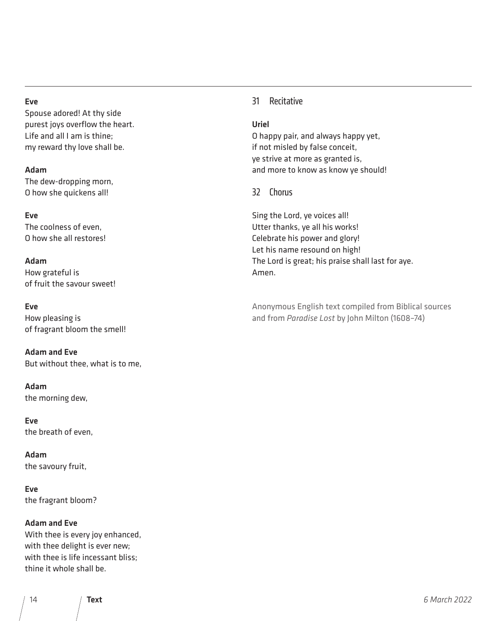#### Eve

Spouse adored! At thy side purest joys overflow the heart. Life and all I am is thine; my reward thy love shall be.

#### Adam

The dew-dropping morn, O how she quickens all!

#### Eve

The coolness of even, O how she all restores!

#### Adam

How grateful is of fruit the savour sweet!

#### Eve

How pleasing is of fragrant bloom the smell!

Adam and Eve But without thee, what is to me,

Adam the morning dew,

Eve the breath of even,

Adam the savoury fruit,

Eve the fragrant bloom?

#### Adam and Eve

With thee is every joy enhanced, with thee delight is ever new; with thee is life incessant bliss; thine it whole shall be.

#### 31 Recitative

#### Uriel

O happy pair, and always happy yet, if not misled by false conceit, ye strive at more as granted is, and more to know as know ye should!

#### 32 Chorus

Sing the Lord, ye voices all! Utter thanks, ye all his works! Celebrate his power and glory! Let his name resound on high! The Lord is great; his praise shall last for aye. Amen.

Anonymous English text compiled from Biblical sources and from *Paradise Lost* by John Milton (1608–74)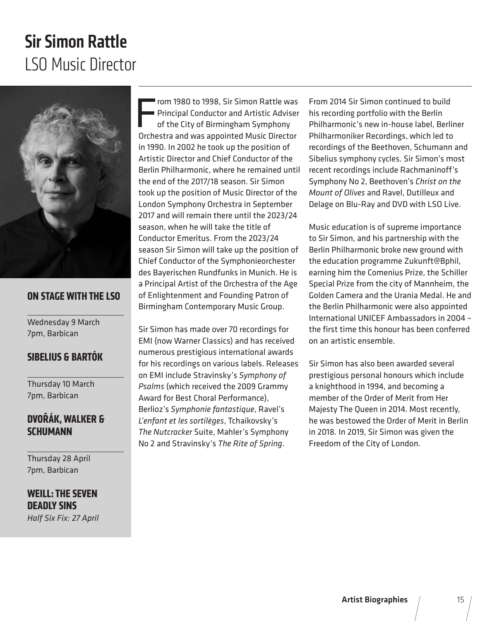### LSO Music Director Sir Simon Rattle



#### **ON STAGE WITH THE LSO**

Wednesday 9 March 7pm, Barbican

#### **SIBELIUS & BARTÓK**

Thursday 10 March 7pm, Barbican

#### **DVOŘÁK, WALKER & SCHIIMANN**

Thursday 28 April 7pm, Barbican

**WEILL: THE SEVEN DEADLY SINS** *Half Six Fix: 27 April* From 1980 to 1998, Sir Simon Rattle was<br>Principal Conductor and Artistic Adviser<br>of the City of Birmingham Symphony<br>Orchestra and was appointed Music Director rom 1980 to 1998, Sir Simon Rattle was Principal Conductor and Artistic Adviser of the City of Birmingham Symphony in 1990. In 2002 he took up the position of Artistic Director and Chief Conductor of the Berlin Philharmonic, where he remained until the end of the 2017/18 season. Sir Simon took up the position of Music Director of the London Symphony Orchestra in September 2017 and will remain there until the 2023/24 season, when he will take the title of Conductor Emeritus. From the 2023/24 season Sir Simon will take up the position of Chief Conductor of the Symphonieorchester des Bayerischen Rundfunks in Munich. He is a Principal Artist of the Orchestra of the Age of Enlightenment and Founding Patron of Birmingham Contemporary Music Group.

Sir Simon has made over 70 recordings for EMI (now Warner Classics) and has received numerous prestigious international awards for his recordings on various labels. Releases on EMI include Stravinsky's *Symphony of Psalms* (which received the 2009 Grammy Award for Best Choral Performance), Berlioz's *Symphonie fantastique*, Ravel's *L'enfant et les sortilèges*, Tchaikovsky's *The Nutcracker* Suite, Mahler's Symphony No 2 and Stravinsky's *The Rite of Spring*.

From 2014 Sir Simon continued to build his recording portfolio with the Berlin Philharmonic's new in-house label, Berliner Philharmoniker Recordings, which led to recordings of the Beethoven, Schumann and Sibelius symphony cycles. Sir Simon's most recent recordings include Rachmaninoff's Symphony No 2, Beethoven's *Christ on the Mount of Olives* and Ravel, Dutilleux and Delage on Blu-Ray and DVD with LSO Live.

Music education is of supreme importance to Sir Simon, and his partnership with the Berlin Philharmonic broke new ground with the education programme Zukunft@Bphil, earning him the Comenius Prize, the Schiller Special Prize from the city of Mannheim, the Golden Camera and the Urania Medal. He and the Berlin Philharmonic were also appointed International UNICEF Ambassadors in 2004 – the first time this honour has been conferred on an artistic ensemble.

Sir Simon has also been awarded several prestigious personal honours which include a knighthood in 1994, and becoming a member of the Order of Merit from Her Majesty The Queen in 2014. Most recently, he was bestowed the Order of Merit in Berlin in 2018. In 2019, Sir Simon was given the Freedom of the City of London.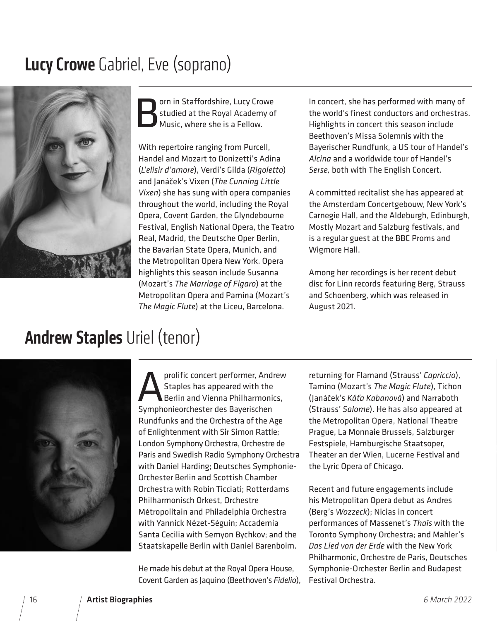### **Lucy Crowe** Gabriel, Eve (soprano)



**Born in Staffordshire, Lucy Crowe**<br>**Box Studied at the Royal Academy of Music, where she is a Fellow.** studied at the Royal Academy of Music, where she is a Fellow.

With repertoire ranging from Purcell, Handel and Mozart to Donizetti's Adina (*L'elisir d'amore*), Verdi's Gilda (*Rigoletto*) and Janáček's Vixen (*The Cunning Little Vixen*) she has sung with opera companies throughout the world, including the Royal Opera, Covent Garden, the Glyndebourne Festival, English National Opera, the Teatro Real, Madrid, the Deutsche Oper Berlin, the Bavarian State Opera, Munich, and the Metropolitan Opera New York. Opera highlights this season include Susanna (Mozart's *The Marriage of Figaro*) at the Metropolitan Opera and Pamina (Mozart's *The Magic Flute*) at the Liceu, Barcelona.

In concert, she has performed with many of the world's finest conductors and orchestras. Highlights in concert this season include Beethoven's Missa Solemnis with the Bayerischer Rundfunk, a US tour of Handel's *Alcina* and a worldwide tour of Handel's *Serse,* both with The English Concert.

A committed recitalist she has appeared at the Amsterdam Concertgebouw, New York's Carnegie Hall, and the Aldeburgh, Edinburgh, Mostly Mozart and Salzburg festivals, and is a regular guest at the BBC Proms and Wigmore Hall.

Among her recordings is her recent debut disc for Linn records featuring Berg, Strauss and Schoenberg, which was released in August 2021.

### Andrew Staples Uriel (tenor)



prolific concert performer, Andrew<br>Staples has appeared with the<br>Berlin and Vienna Philharmonics,<br>Symphonieorchester des Bayerischen Staples has appeared with the Berlin and Vienna Philharmonics, Symphonieorchester des Bayerischen Rundfunks and the Orchestra of the Age of Enlightenment with Sir Simon Rattle; London Symphony Orchestra, Orchestre de Paris and Swedish Radio Symphony Orchestra with Daniel Harding; Deutsches Symphonie-Orchester Berlin and Scottish Chamber Orchestra with Robin Ticciati; Rotterdams Philharmonisch Orkest, Orchestre Métropolitain and Philadelphia Orchestra with Yannick Nézet-Séguin; Accademia Santa Cecilia with Semyon Bychkov; and the Staatskapelle Berlin with Daniel Barenboim.

He made his debut at the Royal Opera House, Covent Garden as Jaquino (Beethoven's *Fidelio*),

returning for Flamand (Strauss' *Capriccio*), Tamino (Mozart's *The Magic Flute*), Tichon (Janáček's *Káťa Kabanová*) and Narraboth (Strauss' *Salome*). He has also appeared at the Metropolitan Opera, National Theatre Prague, La Monnaie Brussels, Salzburger Festspiele, Hamburgische Staatsoper, Theater an der Wien, Lucerne Festival and the Lyric Opera of Chicago.

Recent and future engagements include his Metropolitan Opera debut as Andres (Berg's *Wozzeck*); Nicias in concert performances of Massenet's *Thaïs* with the Toronto Symphony Orchestra; and Mahler's *Das Lied von der Erde* with the New York Philharmonic, Orchestre de Paris, Deutsches Symphonie-Orchester Berlin and Budapest Festival Orchestra.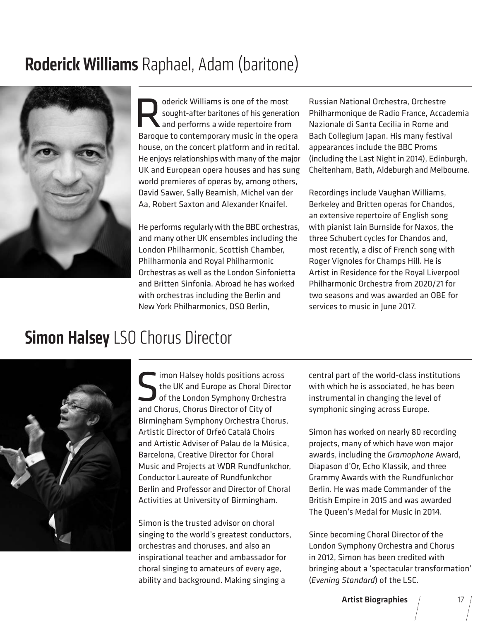### Roderick Williams Raphael, Adam (baritone)



Oderick Williams is one of the most<br>sought-after baritones of his generation<br>and performs a wide repertoire from sought-after baritones of his generation and performs a wide repertoire from Baroque to contemporary music in the opera house, on the concert platform and in recital. He enjoys relationships with many of the major UK and European opera houses and has sung world premieres of operas by, among others, David Sawer, Sally Beamish, Michel van der Aa, Robert Saxton and Alexander Knaifel.

He performs regularly with the BBC orchestras, and many other UK ensembles including the London Philharmonic, Scottish Chamber, Philharmonia and Royal Philharmonic Orchestras as well as the London Sinfonietta and Britten Sinfonia. Abroad he has worked with orchestras including the Berlin and New York Philharmonics, DSO Berlin,

Russian National Orchestra, Orchestre Philharmonique de Radio France, Accademia Nazionale di Santa Cecilia in Rome and Bach Collegium Japan. His many festival appearances include the BBC Proms (including the Last Night in 2014), Edinburgh, Cheltenham, Bath, Aldeburgh and Melbourne.

Recordings include Vaughan Williams, Berkeley and Britten operas for Chandos, an extensive repertoire of English song with pianist Iain Burnside for Naxos, the three Schubert cycles for Chandos and, most recently, a disc of French song with Roger Vignoles for Champs Hill. He is Artist in Residence for the Royal Liverpool Philharmonic Orchestra from 2020/21 for two seasons and was awarded an OBE for services to music in lune 2017.

### **Simon Halsey LSO Chorus Director**



Simon Halsey holds positions across<br>the UK and Europe as Choral Director<br>of the London Symphony Orchestra<br>and Chorus Chorus Director of City of the UK and Europe as Choral Director of the London Symphony Orchestra and Chorus, Chorus Director of City of Birmingham Symphony Orchestra Chorus, Artistic Director of Orfeó Català Choirs and Artistic Adviser of Palau de la Música, Barcelona, Creative Director for Choral Music and Projects at WDR Rundfunkchor, Conductor Laureate of Rundfunkchor Berlin and Professor and Director of Choral Activities at University of Birmingham.

Simon is the trusted advisor on choral singing to the world's greatest conductors, orchestras and choruses, and also an inspirational teacher and ambassador for choral singing to amateurs of every age, ability and background. Making singing a

central part of the world-class institutions with which he is associated, he has been instrumental in changing the level of symphonic singing across Europe.

Simon has worked on nearly 80 recording projects, many of which have won major awards, including the *Gramophone* Award, Diapason d'Or, Echo Klassik, and three Grammy Awards with the Rundfunkchor Berlin. He was made Commander of the British Empire in 2015 and was awarded The Queen's Medal for Music in 2014.

Since becoming Choral Director of the London Symphony Orchestra and Chorus in 2012, Simon has been credited with bringing about a 'spectacular transformation' (*Evening Standard*) of the LSC.

**Artist Biographies**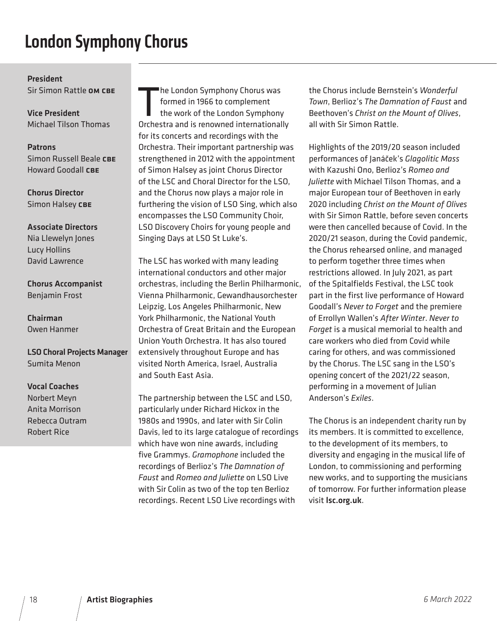### London Symphony Chorus

President Sir Simon Rattle **OM CBE** 

Vice President Michael Tilson Thomas

#### Patrons

Simon Russell Beale CBE Howard Goodall CBE

Chorus Director Simon Halsey CBE

#### Associate Directors

Nia Llewelyn Jones Lucy Hollins David Lawrence

Chorus Accompanist Benjamin Frost

Chairman Owen Hanmer

LSO Choral Projects Manager Sumita Menon

Vocal Coaches Norbert Meyn Anita Morrison Rebecca Outram Robert Rice

he London Symphony Chorus was<br>formed in 1966 to complement<br>the work of the London Symphony<br>Orchestra and is renowned internationally he London Symphony Chorus was formed in 1966 to complement the work of the London Symphony for its concerts and recordings with the Orchestra. Their important partnership was strengthened in 2012 with the appointment of Simon Halsey as joint Chorus Director of the LSC and Choral Director for the LSO, and the Chorus now plays a major role in furthering the vision of LSO Sing, which also encompasses the LSO Community Choir, LSO Discovery Choirs for young people and Singing Days at LSO St Luke's.

The LSC has worked with many leading international conductors and other major orchestras, including the Berlin Philharmonic, Vienna Philharmonic, Gewandhausorchester Leipzig, Los Angeles Philharmonic, New York Philharmonic, the National Youth Orchestra of Great Britain and the European Union Youth Orchestra. It has also toured extensively throughout Europe and has visited North America, Israel, Australia and South East Asia.

The partnership between the LSC and LSO, particularly under Richard Hickox in the 1980s and 1990s, and later with Sir Colin Davis, led to its large catalogue of recordings which have won nine awards, including five Grammys. *Gramophone* included the recordings of Berlioz's *The Damnation of Faust* and *Romeo and Juliette* on LSO Live with Sir Colin as two of the top ten Berlioz recordings. Recent LSO Live recordings with

the Chorus include Bernstein's *Wonderful Town*, Berlioz's *The Damnation of Faust* and Beethoven's *Christ on the Mount of Olives*, all with Sir Simon Rattle.

Highlights of the 2019/20 season included performances of Janáček's *Glagolitic Mass*  with Kazushi Ono, Berlioz's *Romeo and Juliette* with Michael Tilson Thomas, and a major European tour of Beethoven in early 2020 including *Christ on the Mount of Olives* with Sir Simon Rattle, before seven concerts were then cancelled because of Covid. In the 2020/21 season, during the Covid pandemic, the Chorus rehearsed online, and managed to perform together three times when restrictions allowed. In July 2021, as part of the Spitalfields Festival, the LSC took part in the first live performance of Howard Goodall's *Never to Forget* and the premiere of Errollyn Wallen's *After Winter*. *Never to Forget* is a musical memorial to health and care workers who died from Covid while caring for others, and was commissioned by the Chorus. The LSC sang in the LSO's opening concert of the 2021/22 season, performing in a movement of Julian Anderson's *Exiles*.

The Chorus is an independent charity run by its members. It is committed to excellence, to the development of its members, to diversity and engaging in the musical life of London, to commissioning and performing new works, and to supporting the musicians of tomorrow. For further information please visit lsc.org.uk.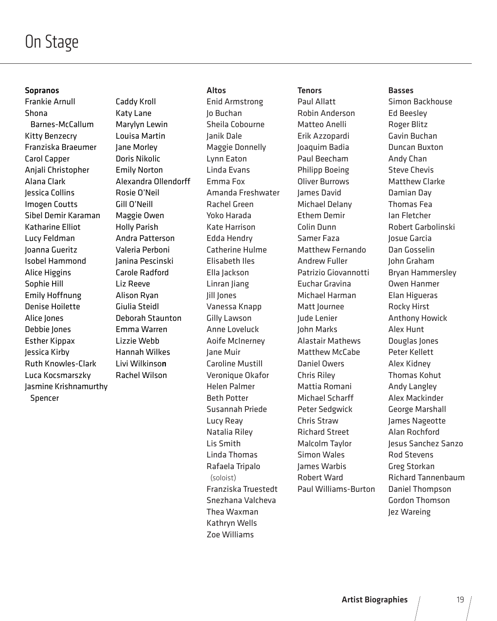### On Stage

#### Sopranos

Frankie Arnull Shona Barnes-McCallum Kitty Benzecry Franziska Braeumer Carol Capper Anjali Christopher Alana Clark Jessica Collins Imogen Coutts Sibel Demir Karaman Katharine Elliot Lucy Feldman Joanna Gueritz Isobel Hammond Alice Higgins Sophie Hill Emily Hoffnung Denise Hoilette Alice Jones Debbie Jones Esther Kippax Jessica Kirby Ruth Knowles-Clark Luca Kocsmarszky Jasmine Krishnamurthy Spencer

Caddy Kroll Katy Lane Marylyn Lewin Louisa Martin Jane Morley Doris Nikolic Emily Norton Alexandra Ollendorff Rosie O'Neil Gill O'Neill Maggie Owen Holly Parish Andra Patterson Valeria Perboni Janina Pescinski Carole Radford Liz Reeve Alison Ryan Giulia Steidl Deborah Staunton Emma Warren Lizzie Webb Hannah Wilkes Livi Wilkinson Rachel Wilson

#### Altos

Enid Armstrong Jo Buchan Sheila Cobourne Janik Dale Maggie Donnelly Lynn Eaton Linda Evans Emma Fox Amanda Freshwater Rachel Green Yoko Harada Kate Harrison Edda Hendry Catherine Hulme Elisabeth Iles Ella Jackson Linran Jiang Jill Jones Vanessa Knapp Gilly Lawson Anne Loveluck Aoife McInerney Jane Muir Caroline Mustill Veronique Okafor Helen Palmer Beth Potter Susannah Priede Lucy Reay Natalia Riley Lis Smith Linda Thomas Rafaela Tripalo (soloist) Franziska Truestedt Snezhana Valcheva Thea Waxman Kathryn Wells Zoe Williams

#### **Tenors**

Paul Allatt Robin Anderson Matteo Anelli Erik Azzopardi Joaquim Badia Paul Beecham Philipp Boeing Oliver Burrows James David Michael Delany Ethem Demir Colin Dunn Samer Faza Matthew Fernando Andrew Fuller Patrizio Giovannotti Euchar Gravina Michael Harman Matt lournee Jude Lenier John Marks Alastair Mathews Matthew McCabe Daniel Owers Chris Riley Mattia Romani Michael Scharff Peter Sedgwick Chris Straw Richard Street Malcolm Taylor Simon Wales James Warbis Robert Ward Paul Williams-Burton

#### Basses

Simon Backhouse Ed Beesley Roger Blitz Gavin Buchan Duncan Buxton Andy Chan Steve Chevis Matthew Clarke Damian Day Thomas Fea Ian Fletcher Robert Garbolinski Josue Garcia Dan Gosselin John Graham Bryan Hammersley Owen Hanmer Elan Higueras Rocky Hirst Anthony Howick Alex Hunt Douglas Jones Peter Kellett Alex Kidney Thomas Kohut Andy Langley Alex Mackinder George Marshall James Nageotte Alan Rochford Jesus Sanchez Sanzo Rod Stevens Greg Storkan Richard Tannenbaum Daniel Thompson Gordon Thomson Jez Wareing